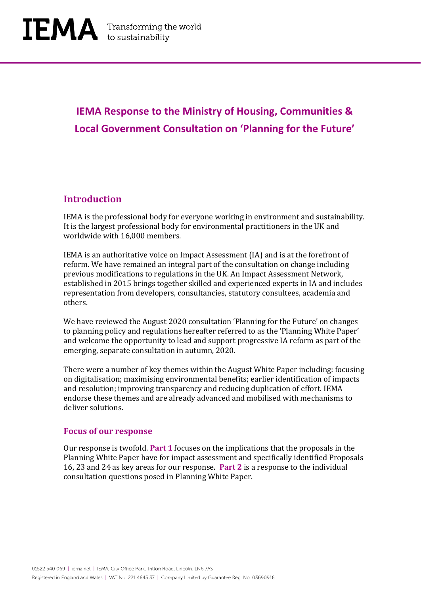## **IEMA Response to the Ministry of Housing, Communities & Local Government Consultation on 'Planning for the Future'**

## **Introduction**

IEMA is the professional body for everyone working in environment and sustainability. It is the largest professional body for environmental practitioners in the UK and worldwide with 16,000 members.

IEMA is an authoritative voice on Impact Assessment (IA) and is at the forefront of reform. We have remained an integral part of the consultation on change including previous modifications to regulations in the UK. An Impact Assessment Network, established in 2015 brings together skilled and experienced experts in IA and includes representation from developers, consultancies, statutory consultees, academia and others.

We have reviewed the August 2020 consultation 'Planning for the Future' on changes to planning policy and regulations hereafter referred to as the 'Planning White Paper' and welcome the opportunity to lead and support progressive IA reform as part of the emerging, separate consultation in autumn, 2020.

There were a number of key themes within the August White Paper including: focusing on digitalisation; maximising environmental benefits; earlier identification of impacts and resolution; improving transparency and reducing duplication of effort. IEMA endorse these themes and are already advanced and mobilised with mechanisms to deliver solutions.

#### **Focus of our response**

Our response is twofold. **Part 1** focuses on the implications that the proposals in the Planning White Paper have for impact assessment and specifically identified Proposals 16, 23 and 24 as key areas for our response. **Part 2** is a response to the individual consultation questions posed in Planning White Paper.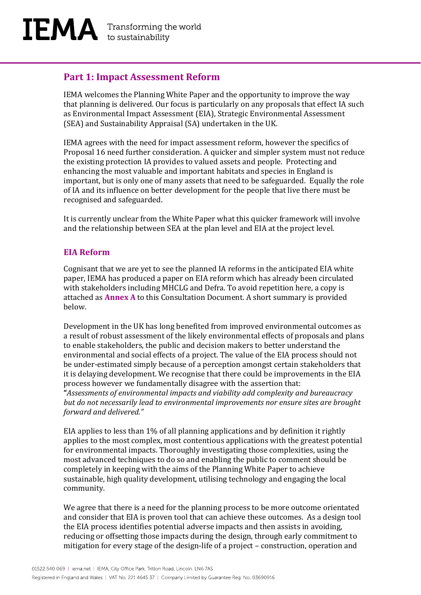## **Part 1: Impact Assessment Reform**

IEMA welcomes the Planning White Paper and the opportunity to improve the way that planning is delivered. Our focus is particularly on any proposals that effect IA such as Environmental Impact Assessment (EIA), Strategic Environmental Assessment (SEA) and Sustainability Appraisal (SA) undertaken in the UK.

IEMA agrees with the need for impact assessment reform, however the specifics of Proposal 16 need further consideration. A quicker and simpler system must not reduce the existing protection IA provides to valued assets and people. Protecting and enhancing the most valuable and important habitats and species in England is important, but is only one of many assets that need to be safeguarded. Equally the role of IA and its influence on better development for the people that live there must be recognised and safeguarded.

It is currently unclear from the White Paper what this quicker framework will involve and the relationship between SEA at the plan level and EIA at the project level.

#### **EIA Reform**

Cognisant that we are yet to see the planned IA reforms in the anticipated EIA white paper, IEMA has produced a paper on EIA reform which has already been circulated with stakeholders including MHCLG and Defra. To avoid repetition here, a copy is attached as **Annex A** to this Consultation Document. A short summary is provided below.

Development in the UK has long benefited from improved environmental outcomes as a result of robust assessment of the likely environmental effects of proposals and plans to enable stakeholders, the public and decision makers to better understand the environmental and social effects of a project. The value of the EIA process should not be under-estimated simply because of a perception amongst certain stakeholders that it is delaying development. We recognise that there could be improvements in the EIA process however we fundamentally disagree with the assertion that:

**"***Assessments of environmental impacts and viability add complexity and bureaucracy but do not necessarily lead to environmental improvements nor ensure sites are brought forward and delivered."*

EIA applies to less than 1% of all planning applications and by definition it rightly applies to the most complex, most contentious applications with the greatest potential for environmental impacts. Thoroughly investigating those complexities, using the most advanced techniques to do so and enabling the public to comment should be completely in keeping with the aims of the Planning White Paper to achieve sustainable, high quality development, utilising technology and engaging the local community.

We agree that there is a need for the planning process to be more outcome orientated and consider that EIA is proven tool that can achieve these outcomes. As a design tool the EIA process identifies potential adverse impacts and then assists in avoiding, reducing or offsetting those impacts during the design, through early commitment to mitigation for every stage of the design-life of a project – construction, operation and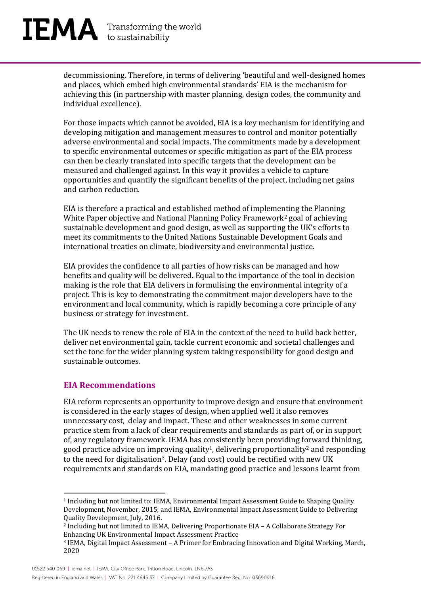# $\mathbf{IEMA}$  Transforming the world

decommissioning. Therefore, in terms of delivering 'beautiful and well-designed homes and places, which embed high environmental standards' EIA is the mechanism for achieving this (in partnership with master planning, design codes, the community and individual excellence).

For those impacts which cannot be avoided, EIA is a key mechanism for identifying and developing mitigation and management measures to control and monitor potentially adverse environmental and social impacts. The commitments made by a development to specific environmental outcomes or specific mitigation as part of the EIA process can then be clearly translated into specific targets that the development can be measured and challenged against. In this way it provides a vehicle to capture opportunities and quantify the significant benefits of the project, including net gains and carbon reduction.

EIA is therefore a practical and established method of implementing the Planning White Paper objective and National Planning Policy Framework<sup>2</sup> goal of achieving sustainable development and good design, as well as supporting the UK's efforts to meet its commitments to the United Nations Sustainable Development Goals and international treaties on climate, biodiversity and environmental justice.

EIA provides the confidence to all parties of how risks can be managed and how benefits and quality will be delivered. Equal to the importance of the tool in decision making is the role that EIA delivers in formulising the environmental integrity of a project. This is key to demonstrating the commitment major developers have to the environment and local community, which is rapidly becoming a core principle of any business or strategy for investment.

The UK needs to renew the role of EIA in the context of the need to build back better, deliver net environmental gain, tackle current economic and societal challenges and set the tone for the wider planning system taking responsibility for good design and sustainable outcomes.

#### **EIA Recommendations**

EIA reform represents an opportunity to improve design and ensure that environment is considered in the early stages of design, when applied well it also removes unnecessary cost, delay and impact. These and other weaknesses in some current practice stem from a lack of clear requirements and standards as part of, or in support of, any regulatory framework. IEMA has consistently been providing forward thinking, good practice advice on improving quality<sup>1</sup>, delivering proportionality<sup>2</sup> and responding to the need for digitalisation3. Delay (and cost) could be rectified with new UK requirements and standards on EIA, mandating good practice and lessons learnt from

<sup>1</sup> Including but not limited to: IEMA, Environmental Impact Assessment Guide to Shaping Quality Development, November, 2015; and IEMA, Environmental Impact Assessment Guide to Delivering Quality Development, July, 2016.

<sup>2</sup> Including but not limited to IEMA, Delivering Proportionate EIA – A Collaborate Strategy For Enhancing UK Environmental Impact Assessment Practice

<sup>3</sup> IEMA, Digital Impact Assessment – A Primer for Embracing Innovation and Digital Working, March, 2020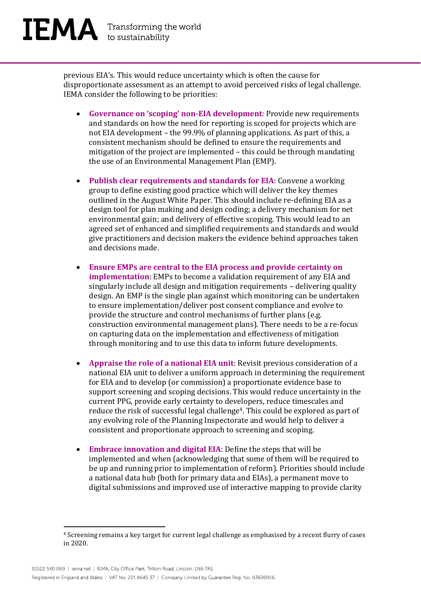previous EIA's. This would reduce uncertainty which is often the cause for disproportionate assessment as an attempt to avoid perceived risks of legal challenge. IEMA consider the following to be priorities:

- **Governance on 'scoping' non-EIA development**: Provide new requirements and standards on how the need for reporting is scoped for projects which are not EIA development – the 99.9% of planning applications. As part of this, a consistent mechanism should be defined to ensure the requirements and mitigation of the project are implemented – this could be through mandating the use of an Environmental Management Plan (EMP).
- **Publish clear requirements and standards for EIA**: Convene a working group to define existing good practice which will deliver the key themes outlined in the August White Paper. This should include re-defining EIA as a design tool for plan making and design coding; a delivery mechanism for net environmental gain; and delivery of effective scoping. This would lead to an agreed set of enhanced and simplified requirements and standards and would give practitioners and decision makers the evidence behind approaches taken and decisions made.
- **Ensure EMPs are central to the EIA process and provide certainty on implementation**: EMPs to become a validation requirement of any EIA and singularly include all design and mitigation requirements – delivering quality design. An EMP is the single plan against which monitoring can be undertaken to ensure implementation/deliver post consent compliance and evolve to provide the structure and control mechanisms of further plans (e.g. construction environmental management plans). There needs to be a re-focus on capturing data on the implementation and effectiveness of mitigation through monitoring and to use this data to inform future developments.
- **Appraise the role of a national EIA unit**: Revisit previous consideration of a national EIA unit to deliver a uniform approach in determining the requirement for EIA and to develop (or commission) a proportionate evidence base to support screening and scoping decisions. This would reduce uncertainty in the current PPG, provide early certainty to developers, reduce timescales and reduce the risk of successful legal challenge<sup>4</sup>. This could be explored as part of any evolving role of the Planning Inspectorate and would help to deliver a consistent and proportionate approach to screening and scoping.
- **Embrace innovation and digital EIA**: Define the steps that will be implemented and when (acknowledging that some of them will be required to be up and running prior to implementation of reform). Priorities should include a national data hub (both for primary data and EIAs), a permanent move to digital submissions and improved use of interactive mapping to provide clarity

<sup>4</sup> Screening remains a key target for current legal challenge as emphasised by a recent flurry of cases in 2020.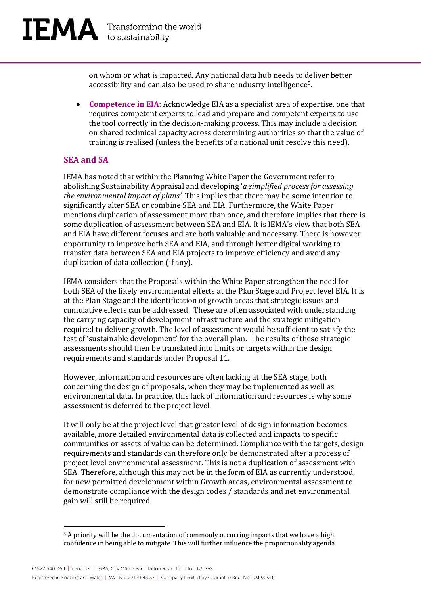on whom or what is impacted. Any national data hub needs to deliver better accessibility and can also be used to share industry intelligence5.

• **Competence in EIA**: Acknowledge EIA as a specialist area of expertise, one that requires competent experts to lead and prepare and competent experts to use the tool correctly in the decision-making process. This may include a decision on shared technical capacity across determining authorities so that the value of training is realised (unless the benefits of a national unit resolve this need).

#### **SEA and SA**

IEMA has noted that within the Planning White Paper the Government refer to abolishing Sustainability Appraisal and developing '*a simplified process for assessing the environmental impact of plans'*. This implies that there may be some intention to significantly alter SEA or combine SEA and EIA. Furthermore, the White Paper mentions duplication of assessment more than once, and therefore implies that there is some duplication of assessment between SEA and EIA. It is IEMA's view that both SEA and EIA have different focuses and are both valuable and necessary. There is however opportunity to improve both SEA and EIA, and through better digital working to transfer data between SEA and EIA projects to improve efficiency and avoid any duplication of data collection (if any).

IEMA considers that the Proposals within the White Paper strengthen the need for both SEA of the likely environmental effects at the Plan Stage and Project level EIA. It is at the Plan Stage and the identification of growth areas that strategic issues and cumulative effects can be addressed. These are often associated with understanding the carrying capacity of development infrastructure and the strategic mitigation required to deliver growth. The level of assessment would be sufficient to satisfy the test of 'sustainable development' for the overall plan. The results of these strategic assessments should then be translated into limits or targets within the design requirements and standards under Proposal 11.

However, information and resources are often lacking at the SEA stage, both concerning the design of proposals, when they may be implemented as well as environmental data. In practice, this lack of information and resources is why some assessment is deferred to the project level.

It will only be at the project level that greater level of design information becomes available, more detailed environmental data is collected and impacts to specific communities or assets of value can be determined. Compliance with the targets, design requirements and standards can therefore only be demonstrated after a process of project level environmental assessment. This is not a duplication of assessment with SEA. Therefore, although this may not be in the form of EIA as currently understood, for new permitted development within Growth areas, environmental assessment to demonstrate compliance with the design codes / standards and net environmental gain will still be required.

<sup>5</sup> A priority will be the documentation of commonly occurring impacts that we have a high confidence in being able to mitigate. This will further influence the proportionality agenda.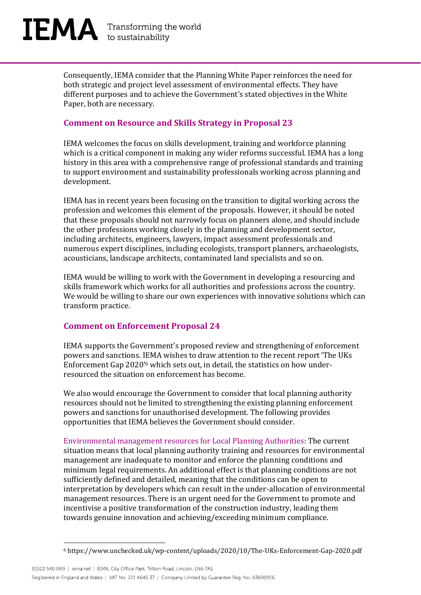

Consequently, IEMA consider that the Planning White Paper reinforces the need for both strategic and project level assessment of environmental effects. They have different purposes and to achieve the Government's stated objectives in the White Paper, both are necessary.

#### **Comment on Resource and Skills Strategy in Proposal 23**

IEMA welcomes the focus on skills development, training and workforce planning which is a critical component in making any wider reforms successful. IEMA has a long history in this area with a comprehensive range of professional standards and training to support environment and sustainability professionals working across planning and development.

IEMA has in recent years been focusing on the transition to digital working across the profession and welcomes this element of the proposals. However, it should be noted that these proposals should not narrowly focus on planners alone, and should include the other professions working closely in the planning and development sector, including architects, engineers, lawyers, impact assessment professionals and numerous expert disciplines, including ecologists, transport planners, archaeologists, acousticians, landscape architects, contaminated land specialists and so on.

IEMA would be willing to work with the Government in developing a resourcing and skills framework which works for all authorities and professions across the country. We would be willing to share our own experiences with innovative solutions which can transform practice.

#### **Comment on Enforcement Proposal 24**

IEMA supports the Government's proposed review and strengthening of enforcement powers and sanctions. IEMA wishes to draw attention to the recent report 'The UKs Enforcement Gap 2020'<sup>6</sup> which sets out, in detail, the statistics on how underresourced the situation on enforcement has become.

We also would encourage the Government to consider that local planning authority resources should not be limited to strengthening the existing planning enforcement powers and sanctions for unauthorised development. The following provides opportunities that IEMA believes the Government should consider.

Environmental management resources for Local Planning Authorities: The current situation means that local planning authority training and resources for environmental management are inadequate to monitor and enforce the planning conditions and minimum legal requirements. An additional effect is that planning conditions are not sufficiently defined and detailed, meaning that the conditions can be open to interpretation by developers which can result in the under-allocation of environmental management resources. There is an urgent need for the Government to promote and incentivise a positive transformation of the construction industry, leading them towards genuine innovation and achieving/exceeding minimum compliance.

<sup>6</sup> https://www.unchecked.uk/wp-content/uploads/2020/10/The-UKs-Enforcement-Gap-2020.pdf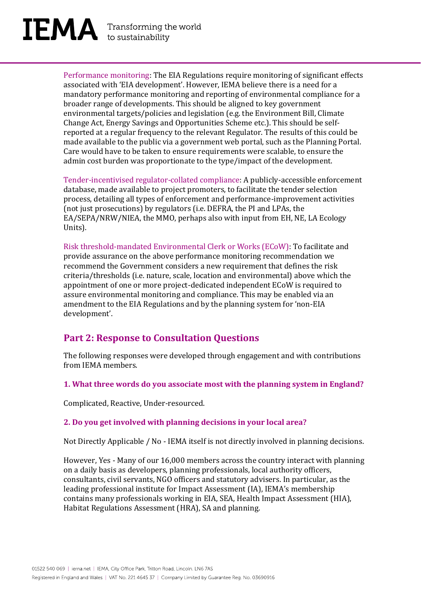Performance monitoring: The EIA Regulations require monitoring of significant effects associated with 'EIA development'. However, IEMA believe there is a need for a mandatory performance monitoring and reporting of environmental compliance for a broader range of developments. This should be aligned to key government environmental targets/policies and legislation (e.g. the Environment Bill, Climate Change Act, Energy Savings and Opportunities Scheme etc.). This should be selfreported at a regular frequency to the relevant Regulator. The results of this could be made available to the public via a government web portal, such as the Planning Portal. Care would have to be taken to ensure requirements were scalable, to ensure the admin cost burden was proportionate to the type/impact of the development.

Tender-incentivised regulator-collated compliance: A publicly-accessible enforcement database, made available to project promoters, to facilitate the tender selection process, detailing all types of enforcement and performance-improvement activities (not just prosecutions) by regulators (i.e. DEFRA, the PI and LPAs, the EA/SEPA/NRW/NIEA, the MMO, perhaps also with input from EH, NE, LA Ecology Units).

Risk threshold-mandated Environmental Clerk or Works (ECoW): To facilitate and provide assurance on the above performance monitoring recommendation we recommend the Government considers a new requirement that defines the risk criteria/thresholds (i.e. nature, scale, location and environmental) above which the appointment of one or more project-dedicated independent ECoW is required to assure environmental monitoring and compliance. This may be enabled via an amendment to the EIA Regulations and by the planning system for 'non-EIA development'.

### **Part 2: Response to Consultation Questions**

The following responses were developed through engagement and with contributions from IEMA members.

**1. What three words do you associate most with the planning system in England?** 

Complicated, Reactive, Under-resourced.

#### **2. Do you get involved with planning decisions in your local area?**

Not Directly Applicable / No - IEMA itself is not directly involved in planning decisions.

However, Yes - Many of our 16,000 members across the country interact with planning on a daily basis as developers, planning professionals, local authority officers, consultants, civil servants, NGO officers and statutory advisers. In particular, as the leading professional institute for Impact Assessment (IA), IEMA's membership contains many professionals working in EIA, SEA, Health Impact Assessment (HIA), Habitat Regulations Assessment (HRA), SA and planning.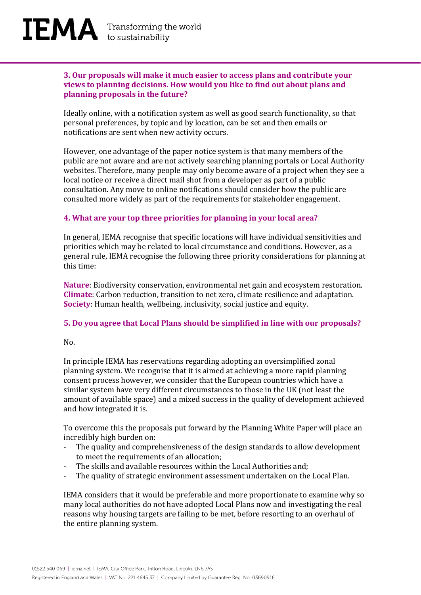#### **3. Our proposals will make it much easier to access plans and contribute your views to planning decisions. How would you like to find out about plans and planning proposals in the future?**

Ideally online, with a notification system as well as good search functionality, so that personal preferences, by topic and by location, can be set and then emails or notifications are sent when new activity occurs.

However, one advantage of the paper notice system is that many members of the public are not aware and are not actively searching planning portals or Local Authority websites. Therefore, many people may only become aware of a project when they see a local notice or receive a direct mail shot from a developer as part of a public consultation. Any move to online notifications should consider how the public are consulted more widely as part of the requirements for stakeholder engagement.

#### **4. What are your top three priorities for planning in your local area?**

In general, IEMA recognise that specific locations will have individual sensitivities and priorities which may be related to local circumstance and conditions. However, as a general rule, IEMA recognise the following three priority considerations for planning at this time:

**Nature**: Biodiversity conservation, environmental net gain and ecosystem restoration. **Climate**: Carbon reduction, transition to net zero, climate resilience and adaptation. **Society**: Human health, wellbeing, inclusivity, social justice and equity.

#### **5. Do you agree that Local Plans should be simplified in line with our proposals?**

#### $No.$

In principle IEMA has reservations regarding adopting an oversimplified zonal planning system. We recognise that it is aimed at achieving a more rapid planning consent process however, we consider that the European countries which have a similar system have very different circumstances to those in the UK (not least the amount of available space) and a mixed success in the quality of development achieved and how integrated it is.

To overcome this the proposals put forward by the Planning White Paper will place an incredibly high burden on:

- The quality and comprehensiveness of the design standards to allow development to meet the requirements of an allocation;
- The skills and available resources within the Local Authorities and;
- The quality of strategic environment assessment undertaken on the Local Plan.

IEMA considers that it would be preferable and more proportionate to examine why so many local authorities do not have adopted Local Plans now and investigating the real reasons why housing targets are failing to be met, before resorting to an overhaul of the entire planning system.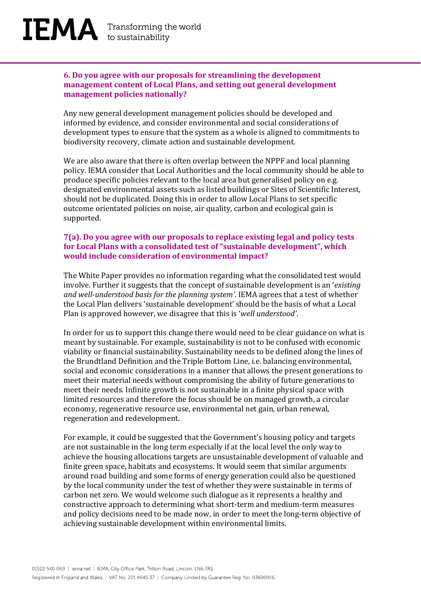#### **6. Do you agree with our proposals for streamlining the development management content of Local Plans, and setting out general development management policies nationally?**

Any new general development management policies should be developed and informed by evidence, and consider environmental and social considerations of development types to ensure that the system as a whole is aligned to commitments to biodiversity recovery, climate action and sustainable development.

We are also aware that there is often overlap between the NPPF and local planning policy. IEMA consider that Local Authorities and the local community should be able to produce specific policies relevant to the local area but generalised policy on e.g. designated environmental assets such as listed buildings or Sites of Scientific Interest, should not be duplicated. Doing this in order to allow Local Plans to set specific outcome orientated policies on noise, air quality, carbon and ecological gain is supported.

#### **7(a). Do you agree with our proposals to replace existing legal and policy tests for Local Plans with a consolidated test of "sustainable development", which would include consideration of environmental impact?**

The White Paper provides no information regarding what the consolidated test would involve. Further it suggests that the concept of sustainable development is an '*existing and well-understood basis for the planning system'*. IEMA agrees that a test of whether the Local Plan delivers 'sustainable development' should be the basis of what a Local Plan is approved however, we disagree that this is '*well understood'*.

In order for us to support this change there would need to be clear guidance on what is meant by sustainable. For example, sustainability is not to be confused with economic viability or financial sustainability. Sustainability needs to be defined along the lines of the Brundtland Definition and the Triple Bottom Line, i.e. balancing environmental, social and economic considerations in a manner that allows the present generations to meet their material needs without compromising the ability of future generations to meet their needs. Infinite growth is not sustainable in a finite physical space with limited resources and therefore the focus should be on managed growth, a circular economy, regenerative resource use, environmental net gain, urban renewal, regeneration and redevelopment.

For example, it could be suggested that the Government's housing policy and targets are not sustainable in the long term especially if at the local level the only way to achieve the housing allocations targets are unsustainable development of valuable and finite green space, habitats and ecosystems. It would seem that similar arguments around road building and some forms of energy generation could also be questioned by the local community under the test of whether they were sustainable in terms of carbon net zero. We would welcome such dialogue as it represents a healthy and constructive approach to determining what short-term and medium-term measures and policy decisions need to be made now, in order to meet the long-term objective of achieving sustainable development within environmental limits.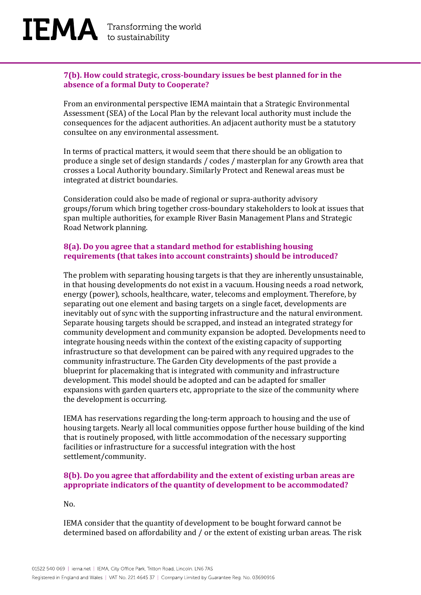#### **7(b). How could strategic, cross-boundary issues be best planned for in the absence of a formal Duty to Cooperate?**

From an environmental perspective IEMA maintain that a Strategic Environmental Assessment (SEA) of the Local Plan by the relevant local authority must include the consequences for the adjacent authorities. An adjacent authority must be a statutory consultee on any environmental assessment.

In terms of practical matters, it would seem that there should be an obligation to produce a single set of design standards / codes / masterplan for any Growth area that crosses a Local Authority boundary. Similarly Protect and Renewal areas must be integrated at district boundaries.

Consideration could also be made of regional or supra-authority advisory groups/forum which bring together cross-boundary stakeholders to look at issues that span multiple authorities, for example River Basin Management Plans and Strategic Road Network planning.

#### **8(a). Do you agree that a standard method for establishing housing requirements (that takes into account constraints) should be introduced?**

The problem with separating housing targets is that they are inherently unsustainable, in that housing developments do not exist in a vacuum. Housing needs a road network, energy (power), schools, healthcare, water, telecoms and employment. Therefore, by separating out one element and basing targets on a single facet, developments are inevitably out of sync with the supporting infrastructure and the natural environment. Separate housing targets should be scrapped, and instead an integrated strategy for community development and community expansion be adopted. Developments need to integrate housing needs within the context of the existing capacity of supporting infrastructure so that development can be paired with any required upgrades to the community infrastructure. The Garden City developments of the past provide a blueprint for placemaking that is integrated with community and infrastructure development. This model should be adopted and can be adapted for smaller expansions with garden quarters etc, appropriate to the size of the community where the development is occurring.

IEMA has reservations regarding the long-term approach to housing and the use of housing targets. Nearly all local communities oppose further house building of the kind that is routinely proposed, with little accommodation of the necessary supporting facilities or infrastructure for a successful integration with the host settlement/community.

#### **8(b). Do you agree that affordability and the extent of existing urban areas are appropriate indicators of the quantity of development to be accommodated?**

No.

IEMA consider that the quantity of development to be bought forward cannot be determined based on affordability and / or the extent of existing urban areas. The risk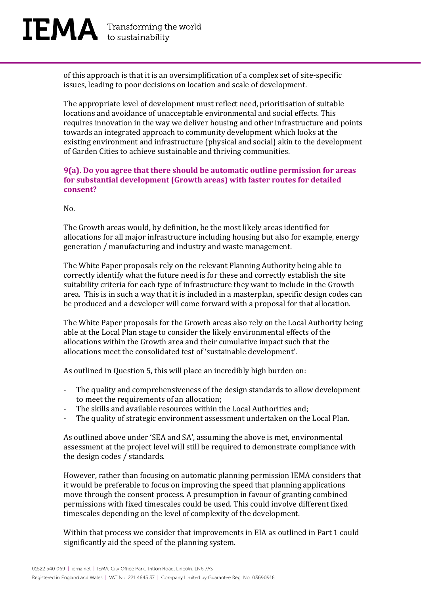

of this approach is that it is an oversimplification of a complex set of site-specific issues, leading to poor decisions on location and scale of development.

The appropriate level of development must reflect need, prioritisation of suitable locations and avoidance of unacceptable environmental and social effects. This requires innovation in the way we deliver housing and other infrastructure and points towards an integrated approach to community development which looks at the existing environment and infrastructure (physical and social) akin to the development of Garden Cities to achieve sustainable and thriving communities.

#### **9(a). Do you agree that there should be automatic outline permission for areas for substantial development (Growth areas) with faster routes for detailed consent?**

 $N<sub>0</sub>$ 

The Growth areas would, by definition, be the most likely areas identified for allocations for all major infrastructure including housing but also for example, energy generation / manufacturing and industry and waste management.

The White Paper proposals rely on the relevant Planning Authority being able to correctly identify what the future need is for these and correctly establish the site suitability criteria for each type of infrastructure they want to include in the Growth area. This is in such a way that it is included in a masterplan, specific design codes can be produced and a developer will come forward with a proposal for that allocation.

The White Paper proposals for the Growth areas also rely on the Local Authority being able at the Local Plan stage to consider the likely environmental effects of the allocations within the Growth area and their cumulative impact such that the allocations meet the consolidated test of 'sustainable development'.

As outlined in Question 5, this will place an incredibly high burden on:

- The quality and comprehensiveness of the design standards to allow development to meet the requirements of an allocation;
- The skills and available resources within the Local Authorities and;
- The quality of strategic environment assessment undertaken on the Local Plan.

As outlined above under 'SEA and SA', assuming the above is met, environmental assessment at the project level will still be required to demonstrate compliance with the design codes / standards.

However, rather than focusing on automatic planning permission IEMA considers that it would be preferable to focus on improving the speed that planning applications move through the consent process. A presumption in favour of granting combined permissions with fixed timescales could be used. This could involve different fixed timescales depending on the level of complexity of the development.

Within that process we consider that improvements in EIA as outlined in Part 1 could significantly aid the speed of the planning system.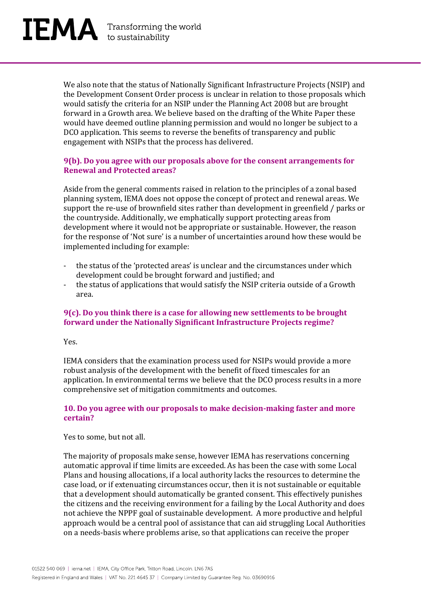

We also note that the status of Nationally Significant Infrastructure Projects (NSIP) and the Development Consent Order process is unclear in relation to those proposals which would satisfy the criteria for an NSIP under the Planning Act 2008 but are brought forward in a Growth area. We believe based on the drafting of the White Paper these would have deemed outline planning permission and would no longer be subject to a DCO application. This seems to reverse the benefits of transparency and public engagement with NSIPs that the process has delivered.

#### **9(b). Do you agree with our proposals above for the consent arrangements for Renewal and Protected areas?**

Aside from the general comments raised in relation to the principles of a zonal based planning system, IEMA does not oppose the concept of protect and renewal areas. We support the re-use of brownfield sites rather than development in greenfield / parks or the countryside. Additionally, we emphatically support protecting areas from development where it would not be appropriate or sustainable. However, the reason for the response of 'Not sure' is a number of uncertainties around how these would be implemented including for example:

- the status of the 'protected areas' is unclear and the circumstances under which development could be brought forward and justified; and
- the status of applications that would satisfy the NSIP criteria outside of a Growth area.

#### **9(c). Do you think there is a case for allowing new settlements to be brought forward under the Nationally Significant Infrastructure Projects regime?**

Yes.

IEMA considers that the examination process used for NSIPs would provide a more robust analysis of the development with the benefit of fixed timescales for an application. In environmental terms we believe that the DCO process results in a more comprehensive set of mitigation commitments and outcomes.

#### **10. Do you agree with our proposals to make decision-making faster and more certain?**

#### Yes to some, but not all.

The majority of proposals make sense, however IEMA has reservations concerning automatic approval if time limits are exceeded. As has been the case with some Local Plans and housing allocations, if a local authority lacks the resources to determine the case load, or if extenuating circumstances occur, then it is not sustainable or equitable that a development should automatically be granted consent. This effectively punishes the citizens and the receiving environment for a failing by the Local Authority and does not achieve the NPPF goal of sustainable development. A more productive and helpful approach would be a central pool of assistance that can aid struggling Local Authorities on a needs-basis where problems arise, so that applications can receive the proper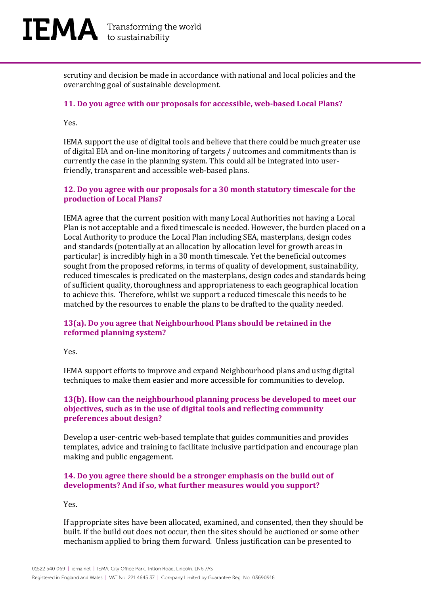

scrutiny and decision be made in accordance with national and local policies and the overarching goal of sustainable development.

#### **11. Do you agree with our proposals for accessible, web-based Local Plans?**

Yes.

IEMA support the use of digital tools and believe that there could be much greater use of digital EIA and on-line monitoring of targets / outcomes and commitments than is currently the case in the planning system. This could all be integrated into userfriendly, transparent and accessible web-based plans.

#### **12. Do you agree with our proposals for a 30 month statutory timescale for the production of Local Plans?**

IEMA agree that the current position with many Local Authorities not having a Local Plan is not acceptable and a fixed timescale is needed. However, the burden placed on a Local Authority to produce the Local Plan including SEA, masterplans, design codes and standards (potentially at an allocation by allocation level for growth areas in particular) is incredibly high in a 30 month timescale. Yet the beneficial outcomes sought from the proposed reforms, in terms of quality of development, sustainability, reduced timescales is predicated on the masterplans, design codes and standards being of sufficient quality, thoroughness and appropriateness to each geographical location to achieve this. Therefore, whilst we support a reduced timescale this needs to be matched by the resources to enable the plans to be drafted to the quality needed.

#### **13(a). Do you agree that Neighbourhood Plans should be retained in the reformed planning system?**

Yes.

IEMA support efforts to improve and expand Neighbourhood plans and using digital techniques to make them easier and more accessible for communities to develop.

#### **13(b). How can the neighbourhood planning process be developed to meet our objectives, such as in the use of digital tools and reflecting community preferences about design?**

Develop a user-centric web-based template that guides communities and provides templates, advice and training to facilitate inclusive participation and encourage plan making and public engagement.

#### **14. Do you agree there should be a stronger emphasis on the build out of developments? And if so, what further measures would you support?**

Yes.

If appropriate sites have been allocated, examined, and consented, then they should be built. If the build out does not occur, then the sites should be auctioned or some other mechanism applied to bring them forward. Unless justification can be presented to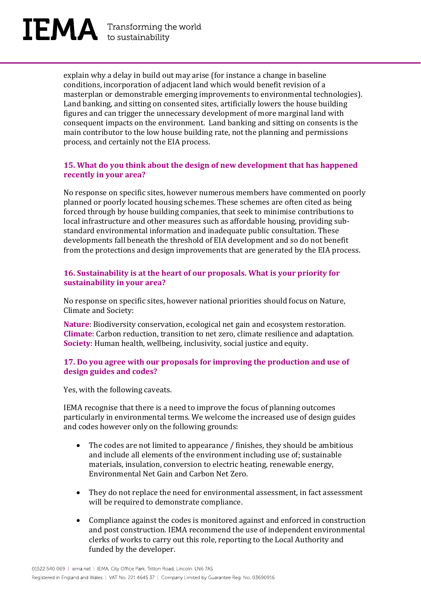

explain why a delay in build out may arise (for instance a change in baseline conditions, incorporation of adjacent land which would benefit revision of a masterplan or demonstrable emerging improvements to environmental technologies). Land banking, and sitting on consented sites, artificially lowers the house building figures and can trigger the unnecessary development of more marginal land with consequent impacts on the environment. Land banking and sitting on consents is the main contributor to the low house building rate, not the planning and permissions process, and certainly not the EIA process.

#### **15. What do you think about the design of new development that has happened recently in your area?**

No response on specific sites, however numerous members have commented on poorly planned or poorly located housing schemes. These schemes are often cited as being forced through by house building companies, that seek to minimise contributions to local infrastructure and other measures such as affordable housing, providing substandard environmental information and inadequate public consultation. These developments fall beneath the threshold of EIA development and so do not benefit from the protections and design improvements that are generated by the EIA process.

#### **16. Sustainability is at the heart of our proposals. What is your priority for sustainability in your area?**

No response on specific sites, however national priorities should focus on Nature, Climate and Society:

**Nature**: Biodiversity conservation, ecological net gain and ecosystem restoration. **Climate**: Carbon reduction, transition to net zero, climate resilience and adaptation. **Society**: Human health, wellbeing, inclusivity, social justice and equity.

#### **17. Do you agree with our proposals for improving the production and use of design guides and codes?**

Yes, with the following caveats.

IEMA recognise that there is a need to improve the focus of planning outcomes particularly in environmental terms. We welcome the increased use of design guides and codes however only on the following grounds:

- The codes are not limited to appearance / finishes, they should be ambitious and include all elements of the environment including use of; sustainable materials, insulation, conversion to electric heating, renewable energy, Environmental Net Gain and Carbon Net Zero.
- They do not replace the need for environmental assessment, in fact assessment will be required to demonstrate compliance.
- Compliance against the codes is monitored against and enforced in construction and post construction. IEMA recommend the use of independent environmental clerks of works to carry out this role, reporting to the Local Authority and funded by the developer.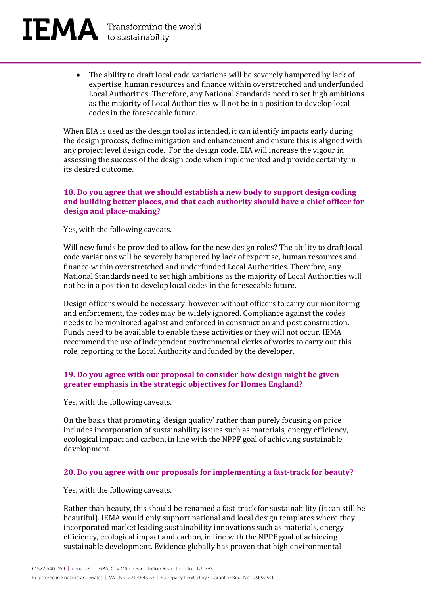#### • The ability to draft local code variations will be severely hampered by lack of expertise, human resources and finance within overstretched and underfunded Local Authorities. Therefore, any National Standards need to set high ambitions as the majority of Local Authorities will not be in a position to develop local codes in the foreseeable future.

When EIA is used as the design tool as intended, it can identify impacts early during the design process, define mitigation and enhancement and ensure this is aligned with any project level design code. For the design code, EIA will increase the vigour in assessing the success of the design code when implemented and provide certainty in its desired outcome.

#### **18. Do you agree that we should establish a new body to support design coding and building better places, and that each authority should have a chief officer for design and place-making?**

Yes, with the following caveats.

Will new funds be provided to allow for the new design roles? The ability to draft local code variations will be severely hampered by lack of expertise, human resources and finance within overstretched and underfunded Local Authorities. Therefore, any National Standards need to set high ambitions as the majority of Local Authorities will not be in a position to develop local codes in the foreseeable future.

Design officers would be necessary, however without officers to carry our monitoring and enforcement, the codes may be widely ignored. Compliance against the codes needs to be monitored against and enforced in construction and post construction. Funds need to be available to enable these activities or they will not occur. IEMA recommend the use of independent environmental clerks of works to carry out this role, reporting to the Local Authority and funded by the developer.

#### **19. Do you agree with our proposal to consider how design might be given greater emphasis in the strategic objectives for Homes England?**

Yes, with the following caveats.

On the basis that promoting 'design quality' rather than purely focusing on price includes incorporation of sustainability issues such as materials, energy efficiency, ecological impact and carbon, in line with the NPPF goal of achieving sustainable development.

#### **20. Do you agree with our proposals for implementing a fast-track for beauty?**

Yes, with the following caveats.

Rather than beauty, this should be renamed a fast-track for sustainability (it can still be beautiful). IEMA would only support national and local design templates where they incorporated market leading sustainability innovations such as materials, energy efficiency, ecological impact and carbon, in line with the NPPF goal of achieving sustainable development. Evidence globally has proven that high environmental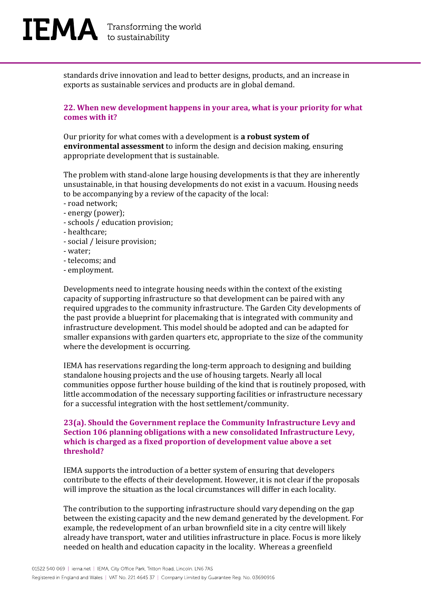

standards drive innovation and lead to better designs, products, and an increase in exports as sustainable services and products are in global demand.

#### **22. When new development happens in your area, what is your priority for what comes with it?**

Our priority for what comes with a development is **a robust system of environmental assessment** to inform the design and decision making, ensuring appropriate development that is sustainable.

The problem with stand-alone large housing developments is that they are inherently unsustainable, in that housing developments do not exist in a vacuum. Housing needs to be accompanying by a review of the capacity of the local:

- road network;
- energy (power);
- schools / education provision;
- healthcare;
- social / leisure provision;
- water;
- telecoms; and
- employment.

Developments need to integrate housing needs within the context of the existing capacity of supporting infrastructure so that development can be paired with any required upgrades to the community infrastructure. The Garden City developments of the past provide a blueprint for placemaking that is integrated with community and infrastructure development. This model should be adopted and can be adapted for smaller expansions with garden quarters etc, appropriate to the size of the community where the development is occurring.

IEMA has reservations regarding the long-term approach to designing and building standalone housing projects and the use of housing targets. Nearly all local communities oppose further house building of the kind that is routinely proposed, with little accommodation of the necessary supporting facilities or infrastructure necessary for a successful integration with the host settlement/community.

#### **23(a). Should the Government replace the Community Infrastructure Levy and Section 106 planning obligations with a new consolidated Infrastructure Levy, which is charged as a fixed proportion of development value above a set threshold?**

IEMA supports the introduction of a better system of ensuring that developers contribute to the effects of their development. However, it is not clear if the proposals will improve the situation as the local circumstances will differ in each locality.

The contribution to the supporting infrastructure should vary depending on the gap between the existing capacity and the new demand generated by the development. For example, the redevelopment of an urban brownfield site in a city centre will likely already have transport, water and utilities infrastructure in place. Focus is more likely needed on health and education capacity in the locality. Whereas a greenfield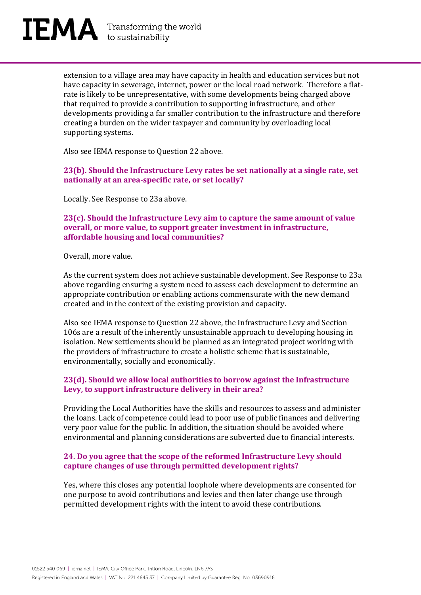

extension to a village area may have capacity in health and education services but not have capacity in sewerage, internet, power or the local road network. Therefore a flatrate is likely to be unrepresentative, with some developments being charged above that required to provide a contribution to supporting infrastructure, and other developments providing a far smaller contribution to the infrastructure and therefore creating a burden on the wider taxpayer and community by overloading local supporting systems.

Also see IEMA response to Question 22 above.

**23(b). Should the Infrastructure Levy rates be set nationally at a single rate, set nationally at an area-specific rate, or set locally?** 

Locally. See Response to 23a above.

**23(c). Should the Infrastructure Levy aim to capture the same amount of value overall, or more value, to support greater investment in infrastructure, affordable housing and local communities?** 

Overall, more value.

As the current system does not achieve sustainable development. See Response to 23a above regarding ensuring a system need to assess each development to determine an appropriate contribution or enabling actions commensurate with the new demand created and in the context of the existing provision and capacity.

Also see IEMA response to Question 22 above, the Infrastructure Levy and Section 106s are a result of the inherently unsustainable approach to developing housing in isolation. New settlements should be planned as an integrated project working with the providers of infrastructure to create a holistic scheme that is sustainable, environmentally, socially and economically.

#### **23(d). Should we allow local authorities to borrow against the Infrastructure Levy, to support infrastructure delivery in their area?**

Providing the Local Authorities have the skills and resources to assess and administer the loans. Lack of competence could lead to poor use of public finances and delivering very poor value for the public. In addition, the situation should be avoided where environmental and planning considerations are subverted due to financial interests.

#### **24. Do you agree that the scope of the reformed Infrastructure Levy should capture changes of use through permitted development rights?**

Yes, where this closes any potential loophole where developments are consented for one purpose to avoid contributions and levies and then later change use through permitted development rights with the intent to avoid these contributions.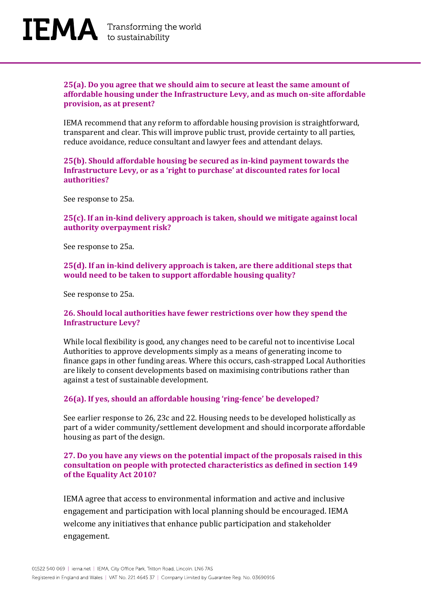

#### **25(a). Do you agree that we should aim to secure at least the same amount of affordable housing under the Infrastructure Levy, and as much on-site affordable provision, as at present?**

IEMA recommend that any reform to affordable housing provision is straightforward, transparent and clear. This will improve public trust, provide certainty to all parties, reduce avoidance, reduce consultant and lawyer fees and attendant delays.

**25(b). Should affordable housing be secured as in-kind payment towards the Infrastructure Levy, or as a 'right to purchase' at discounted rates for local authorities?** 

See response to 25a.

**25(c). If an in-kind delivery approach is taken, should we mitigate against local authority overpayment risk?** 

See response to 25a.

**25(d). If an in-kind delivery approach is taken, are there additional steps that would need to be taken to support affordable housing quality?** 

See response to 25a.

#### **26. Should local authorities have fewer restrictions over how they spend the Infrastructure Levy?**

While local flexibility is good, any changes need to be careful not to incentivise Local Authorities to approve developments simply as a means of generating income to finance gaps in other funding areas. Where this occurs, cash-strapped Local Authorities are likely to consent developments based on maximising contributions rather than against a test of sustainable development.

#### **26(a). If yes, should an affordable housing 'ring-fence' be developed?**

See earlier response to 26, 23c and 22. Housing needs to be developed holistically as part of a wider community/settlement development and should incorporate affordable housing as part of the design.

#### **27. Do you have any views on the potential impact of the proposals raised in this consultation on people with protected characteristics as defined in section 149 of the Equality Act 2010?**

IEMA agree that access to environmental information and active and inclusive engagement and participation with local planning should be encouraged. IEMA welcome any initiatives that enhance public participation and stakeholder engagement.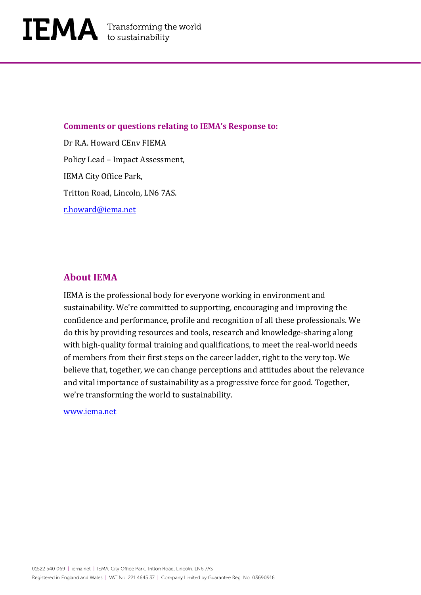

#### **Comments or questions relating to IEMA's Response to:**

Dr R.A. Howard CEnv FIEMA Policy Lead – Impact Assessment, IEMA City Office Park, Tritton Road, Lincoln, LN6 7AS. [r.howard@iema.net](mailto:r.howard@iema.net)

#### **About IEMA**

IEMA is the professional body for everyone working in environment and sustainability. We're committed to supporting, encouraging and improving the confidence and performance, profile and recognition of all these professionals. We do this by providing resources and tools, research and knowledge-sharing along with high-quality formal training and qualifications, to meet the real-world needs of members from their first steps on the career ladder, right to the very top. We believe that, together, we can change perceptions and attitudes about the relevance and vital importance of sustainability as a progressive force for good. Together, we're transforming the world to sustainability.

[www.iema.net](http://www.iema.net/)